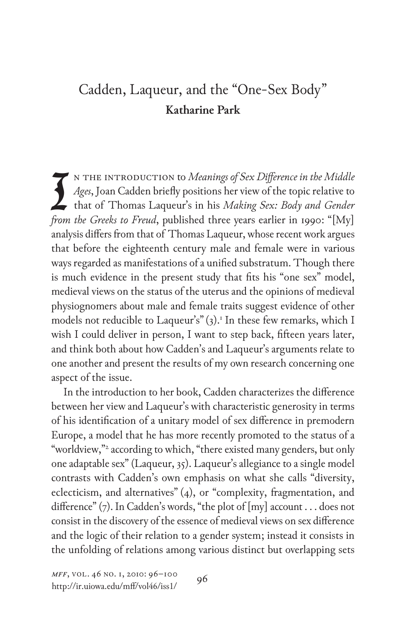## Cadden, Laqueur, and the "One-Sex Body" **Katharine Park**

I n the introduction to *Meanings of Sex Difference in the Middle Ages*, Joan Cadden briefly positions her view of the topic relative to that of Thomas Laqueur's in his *Making Sex: Body and Gender from the Greeks to Freud*, published three years earlier in 1990: "[My] analysis differs from that of Thomas Laqueur, whose recent work argues that before the eighteenth century male and female were in various ways regarded as manifestations of a unified substratum. Though there is much evidence in the present study that fits his "one sex" model, medieval views on the status of the uterus and the opinions of medieval physiognomers about male and female traits suggest evidence of other models not reducible to Laqueur's" (3).<sup>1</sup> In these few remarks, which I wish I could deliver in person, I want to step back, fifteen years later, and think both about how Cadden's and Laqueur's arguments relate to one another and present the results of my own research concerning one aspect of the issue.

In the introduction to her book, Cadden characterizes the difference between her view and Laqueur's with characteristic generosity in terms of his identification of a unitary model of sex difference in premodern Europe, a model that he has more recently promoted to the status of a "worldview,"2 according to which, "there existed many genders, but only one adaptable sex" (Laqueur, 35). Laqueur's allegiance to a single model contrasts with Cadden's own emphasis on what she calls "diversity, eclecticism, and alternatives" (4), or "complexity, fragmentation, and difference" (7). In Cadden's words, "the plot of [my] account . . . does not consist in the discovery of the essence of medieval views on sex difference and the logic of their relation to a gender system; instead it consists in the unfolding of relations among various distinct but overlapping sets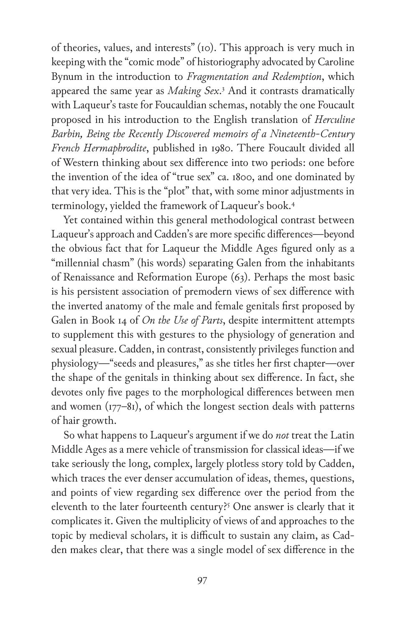of theories, values, and interests" (10). This approach is very much in keeping with the "comic mode" of historiography advocated by Caroline Bynum in the introduction to *Fragmentation and Redemption*, which appeared the same year as *Making Sex*. 3 And it contrasts dramatically with Laqueur's taste for Foucauldian schemas, notably the one Foucault proposed in his introduction to the English translation of *Herculine Barbin, Being the Recently Discovered memoirs of a Nineteenth-Century French Hermaphrodite*, published in 1980. There Foucault divided all of Western thinking about sex difference into two periods: one before the invention of the idea of "true sex" ca. 1800, and one dominated by that very idea. This is the "plot" that, with some minor adjustments in terminology, yielded the framework of Laqueur's book.4

Yet contained within this general methodological contrast between Laqueur's approach and Cadden's are more specific differences—beyond the obvious fact that for Laqueur the Middle Ages figured only as a "millennial chasm" (his words) separating Galen from the inhabitants of Renaissance and Reformation Europe (63). Perhaps the most basic is his persistent association of premodern views of sex difference with the inverted anatomy of the male and female genitals first proposed by Galen in Book 14 of *On the Use of Parts*, despite intermittent attempts to supplement this with gestures to the physiology of generation and sexual pleasure. Cadden, in contrast, consistently privileges function and physiology—"seeds and pleasures," as she titles her first chapter—over the shape of the genitals in thinking about sex difference. In fact, she devotes only five pages to the morphological differences between men and women (177–81), of which the longest section deals with patterns of hair growth.

So what happens to Laqueur's argument if we do *not* treat the Latin Middle Ages as a mere vehicle of transmission for classical ideas—if we take seriously the long, complex, largely plotless story told by Cadden, which traces the ever denser accumulation of ideas, themes, questions, and points of view regarding sex difference over the period from the eleventh to the later fourteenth century?<sup>5</sup> One answer is clearly that it complicates it. Given the multiplicity of views of and approaches to the topic by medieval scholars, it is difficult to sustain any claim, as Cadden makes clear, that there was a single model of sex difference in the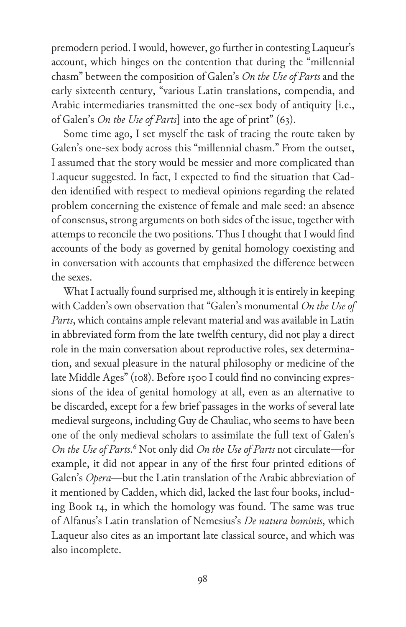premodern period. I would, however, go further in contesting Laqueur's account, which hinges on the contention that during the "millennial chasm" between the composition of Galen's *On the Use of Parts* and the early sixteenth century, "various Latin translations, compendia, and Arabic intermediaries transmitted the one-sex body of antiquity [i.e., of Galen's *On the Use of Parts*] into the age of print" (63).

Some time ago, I set myself the task of tracing the route taken by Galen's one-sex body across this "millennial chasm." From the outset, I assumed that the story would be messier and more complicated than Laqueur suggested. In fact, I expected to find the situation that Cadden identified with respect to medieval opinions regarding the related problem concerning the existence of female and male seed: an absence of consensus, strong arguments on both sides of the issue, together with attemps to reconcile the two positions. Thus I thought that I would find accounts of the body as governed by genital homology coexisting and in conversation with accounts that emphasized the difference between the sexes.

What I actually found surprised me, although it is entirely in keeping with Cadden's own observation that "Galen's monumental *On the Use of Parts*, which contains ample relevant material and was available in Latin in abbreviated form from the late twelfth century, did not play a direct role in the main conversation about reproductive roles, sex determination, and sexual pleasure in the natural philosophy or medicine of the late Middle Ages" (108). Before 1500 I could find no convincing expressions of the idea of genital homology at all, even as an alternative to be discarded, except for a few brief passages in the works of several late medieval surgeons, including Guy de Chauliac, who seems to have been one of the only medieval scholars to assimilate the full text of Galen's *On the Use of Parts*. 6 Not only did *On the Use of Parts* not circulate—for example, it did not appear in any of the first four printed editions of Galen's *Opera*—but the Latin translation of the Arabic abbreviation of it mentioned by Cadden, which did, lacked the last four books, including Book 14, in which the homology was found. The same was true of Alfanus's Latin translation of Nemesius's *De natura hominis*, which Laqueur also cites as an important late classical source, and which was also incomplete.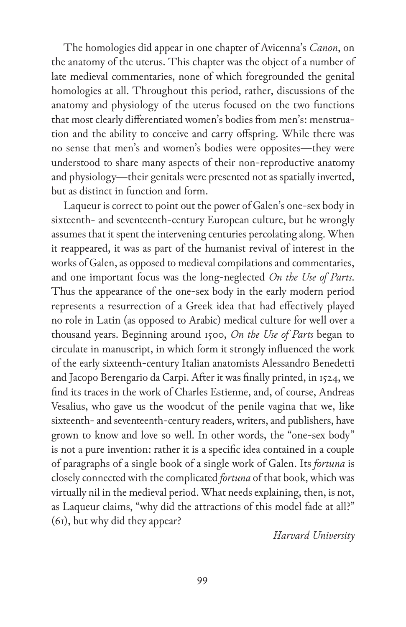The homologies did appear in one chapter of Avicenna's *Canon*, on the anatomy of the uterus. This chapter was the object of a number of late medieval commentaries, none of which foregrounded the genital homologies at all. Throughout this period, rather, discussions of the anatomy and physiology of the uterus focused on the two functions that most clearly differentiated women's bodies from men's: menstruation and the ability to conceive and carry offspring. While there was no sense that men's and women's bodies were opposites—they were understood to share many aspects of their non-reproductive anatomy and physiology—their genitals were presented not as spatially inverted, but as distinct in function and form.

Laqueur is correct to point out the power of Galen's one-sex body in sixteenth- and seventeenth-century European culture, but he wrongly assumes that it spent the intervening centuries percolating along. When it reappeared, it was as part of the humanist revival of interest in the works of Galen, as opposed to medieval compilations and commentaries, and one important focus was the long-neglected *On the Use of Parts*. Thus the appearance of the one-sex body in the early modern period represents a resurrection of a Greek idea that had effectively played no role in Latin (as opposed to Arabic) medical culture for well over a thousand years. Beginning around 1500, *On the Use of Parts* began to circulate in manuscript, in which form it strongly influenced the work of the early sixteenth-century Italian anatomists Alessandro Benedetti and Jacopo Berengario da Carpi. After it was finally printed, in 1524, we find its traces in the work of Charles Estienne, and, of course, Andreas Vesalius, who gave us the woodcut of the penile vagina that we, like sixteenth- and seventeenth-century readers, writers, and publishers, have grown to know and love so well. In other words, the "one-sex body" is not a pure invention: rather it is a specific idea contained in a couple of paragraphs of a single book of a single work of Galen. Its *fortuna* is closely connected with the complicated *fortuna* of that book, which was virtually nil in the medieval period. What needs explaining, then, is not, as Laqueur claims, "why did the attractions of this model fade at all?" (61), but why did they appear?

*Harvard University*